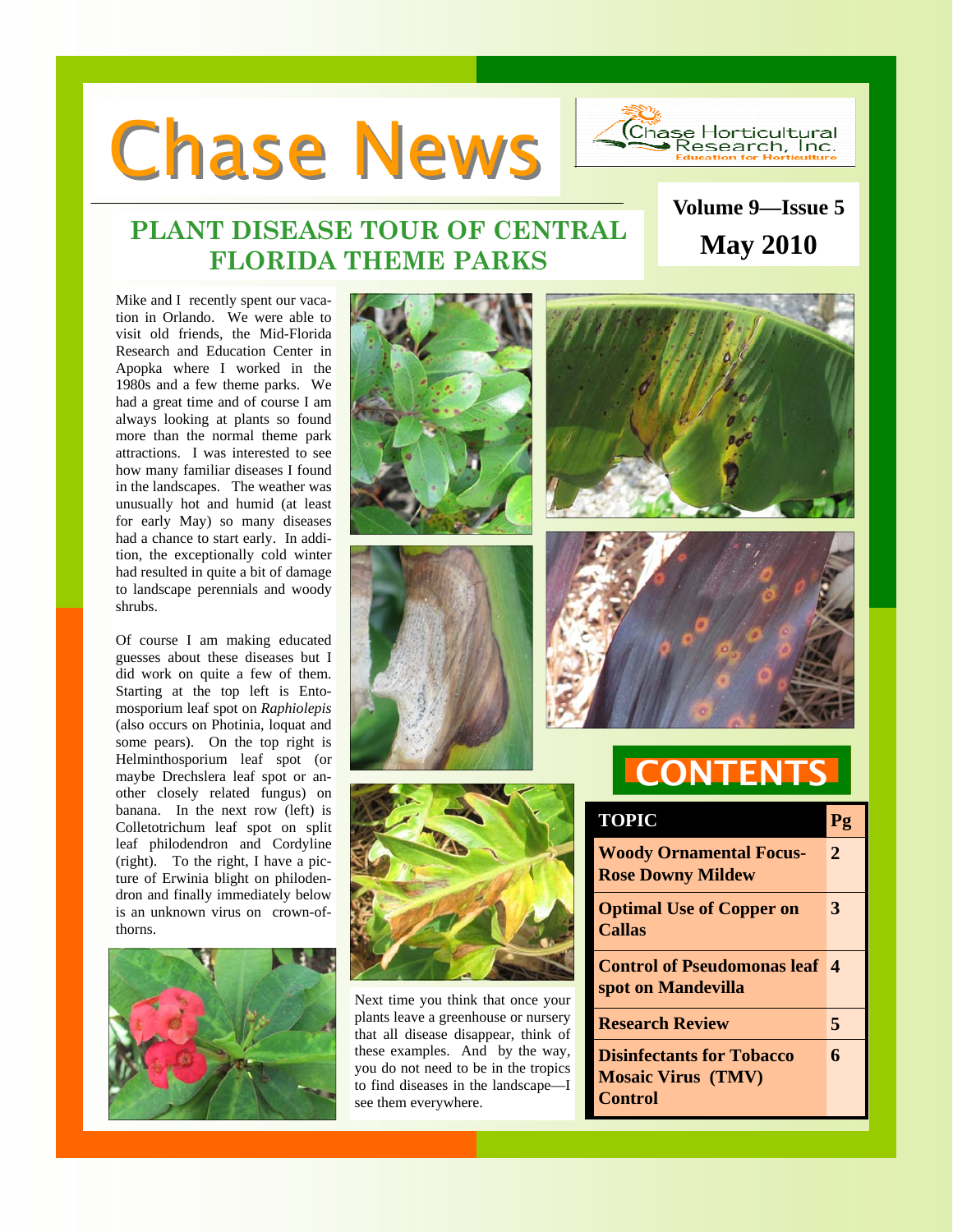# **Chase News**



**Volume 9—Issue 5** 

# **PLANT DISEASE TOUR OF CENTRAL FLORIDA THEME PARKS May 2010**

Mike and I recently spent our vacation in Orlando. We were able to visit old friends, the Mid-Florida Research and Education Center in Apopka where I worked in the 1980s and a few theme parks. We had a great time and of course I am always looking at plants so found more than the normal theme park attractions. I was interested to see how many familiar diseases I found in the landscapes. The weather was unusually hot and humid (at least for early May) so many diseases had a chance to start early. In addition, the exceptionally cold winter had resulted in quite a bit of damage to landscape perennials and woody shrubs.

Of course I am making educated guesses about these diseases but I did work on quite a few of them. Starting at the top left is Entomosporium leaf spot on *Raphiolepis* (also occurs on Photinia, loquat and some pears). On the top right is Helminthosporium leaf spot (or maybe Drechslera leaf spot or another closely related fungus) on banana. In the next row (left) is Colletotrichum leaf spot on split leaf philodendron and Cordyline (right). To the right, I have a picture of Erwinia blight on philodendron and finally immediately below is an unknown virus on crown-ofthorns.



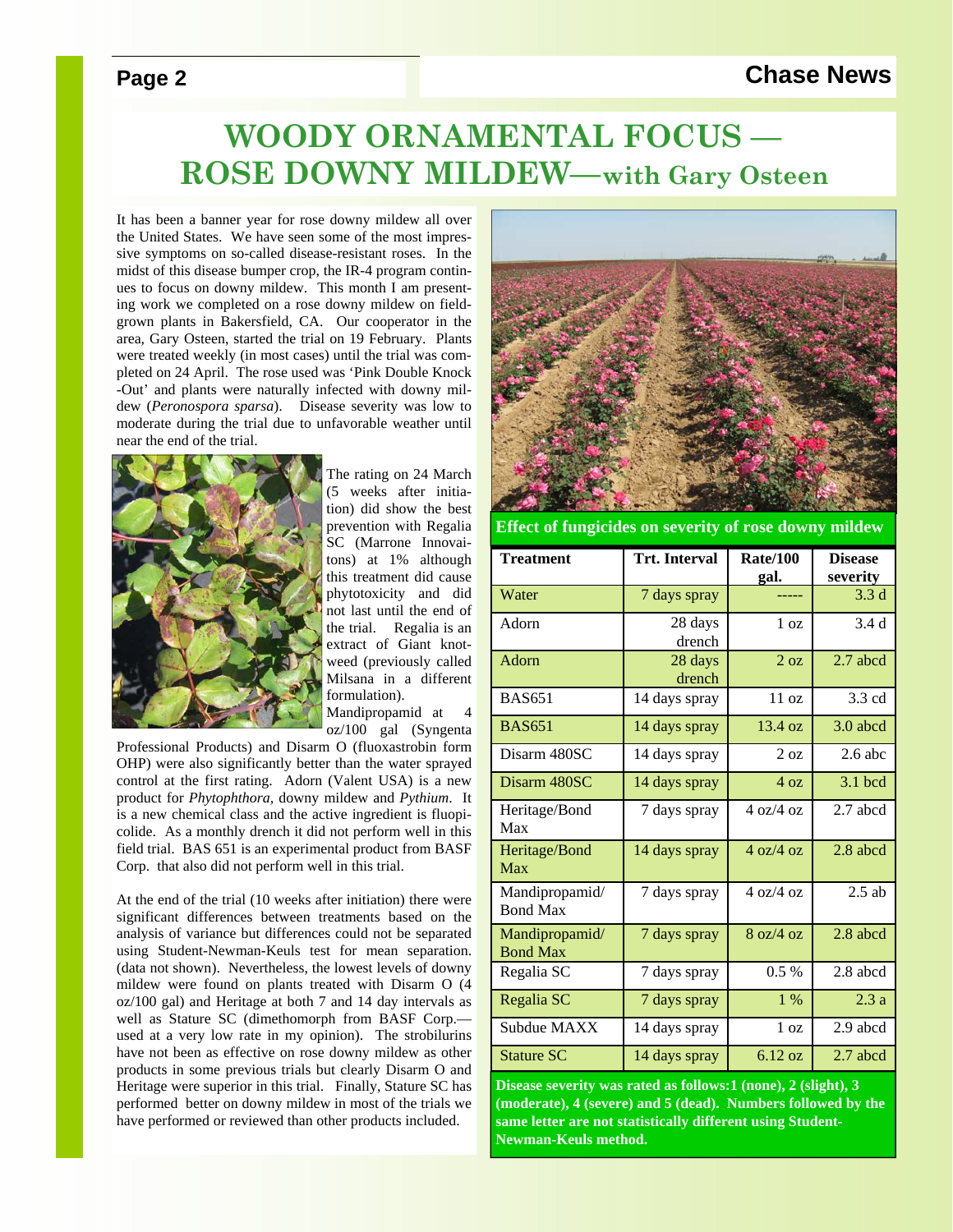### **Page 2** Chase News

# **WOODY ORNAMENTAL FOCUS — ROSE DOWNY MILDEW—with Gary Osteen**

It has been a banner year for rose downy mildew all over the United States. We have seen some of the most impressive symptoms on so-called disease-resistant roses. In the midst of this disease bumper crop, the IR-4 program continues to focus on downy mildew. This month I am presenting work we completed on a rose downy mildew on fieldgrown plants in Bakersfield, CA. Our cooperator in the area, Gary Osteen, started the trial on 19 February. Plants were treated weekly (in most cases) until the trial was completed on 24 April. The rose used was 'Pink Double Knock -Out' and plants were naturally infected with downy mildew (*Peronospora sparsa*). Disease severity was low to moderate during the trial due to unfavorable weather until near the end of the trial.



The rating on 24 March (5 weeks after initiation) did show the best prevention with Regalia SC (Marrone Innovaitons) at 1% although this treatment did cause phytotoxicity and did not last until the end of the trial. Regalia is an extract of Giant knotweed (previously called Milsana in a different formulation).

Mandipropamid at 4 oz/100 gal (Syngenta

Professional Products) and Disarm O (fluoxastrobin form OHP) were also significantly better than the water sprayed control at the first rating. Adorn (Valent USA) is a new product for *Phytophthora,* downy mildew and *Pythium*. It is a new chemical class and the active ingredient is fluopicolide. As a monthly drench it did not perform well in this field trial. BAS 651 is an experimental product from BASF Corp. that also did not perform well in this trial.

At the end of the trial (10 weeks after initiation) there were significant differences between treatments based on the analysis of variance but differences could not be separated using Student-Newman-Keuls test for mean separation. (data not shown). Nevertheless, the lowest levels of downy mildew were found on plants treated with Disarm O (4 oz/100 gal) and Heritage at both 7 and 14 day intervals as well as Stature SC (dimethomorph from BASF Corp. used at a very low rate in my opinion). The strobilurins have not been as effective on rose downy mildew as other products in some previous trials but clearly Disarm O and Heritage were superior in this trial. Finally, Stature SC has performed better on downy mildew in most of the trials we have performed or reviewed than other products included.



**Effect of fungicides on severity of rose downy mildew** 

| <b>Treatment</b>                  | <b>Trt. Interval</b> | <b>Rate/100</b><br>gal.    | <b>Disease</b><br>severity |
|-----------------------------------|----------------------|----------------------------|----------------------------|
| Water                             | 7 days spray         |                            | 3.3 <sub>d</sub>           |
| Adorn                             | 28 days<br>drench    | 1 <sub>oz</sub>            | 3.4 <sub>d</sub>           |
| Adorn                             | 28 days<br>drench    | 2 oz                       | 2.7 abcd                   |
| <b>BAS651</b>                     | 14 days spray        | 11 oz                      | 3.3 cd                     |
| <b>BAS651</b>                     | 14 days spray        | 13.4 oz                    | $3.0$ abcd                 |
| Disarm 480SC                      | 14 days spray        | $2 \Omega$                 | $2.6$ abc                  |
| Disarm 480SC                      | 14 days spray        | 4 oz                       | 3.1 bcd                    |
| Heritage/Bond<br>Max              | 7 days spray         | $4 \frac{\text{oz}}{4}$ oz | 2.7 abcd                   |
| Heritage/Bond<br>Max              | 14 days spray        | $4 \frac{\text{oz}}{4}$ oz | 2.8 abcd                   |
| Mandipropamid/<br><b>Bond Max</b> | 7 days spray         | $4 \frac{\text{oz}}{4}$ oz | $2.5$ ab                   |
| Mandipropamid/<br><b>Bond Max</b> | 7 days spray         | 8 oz/4 oz                  | 2.8 abcd                   |
| Regalia SC                        | 7 days spray         | $0.5\%$                    | 2.8 abcd                   |
| Regalia SC                        | 7 days spray         | $1\%$                      | 2.3a                       |
| Subdue MAXX                       | 14 days spray        | 1 <sub>oz</sub>            | 2.9 abcd                   |
| <b>Stature SC</b>                 | 14 days spray        | 6.12 oz                    | 2.7 abcd                   |

**Disease severity was rated as follows:1 (none), 2 (slight), 3 (moderate), 4 (severe) and 5 (dead). Numbers followed by the same letter are not statistically different using Student-Newman-Keuls method.**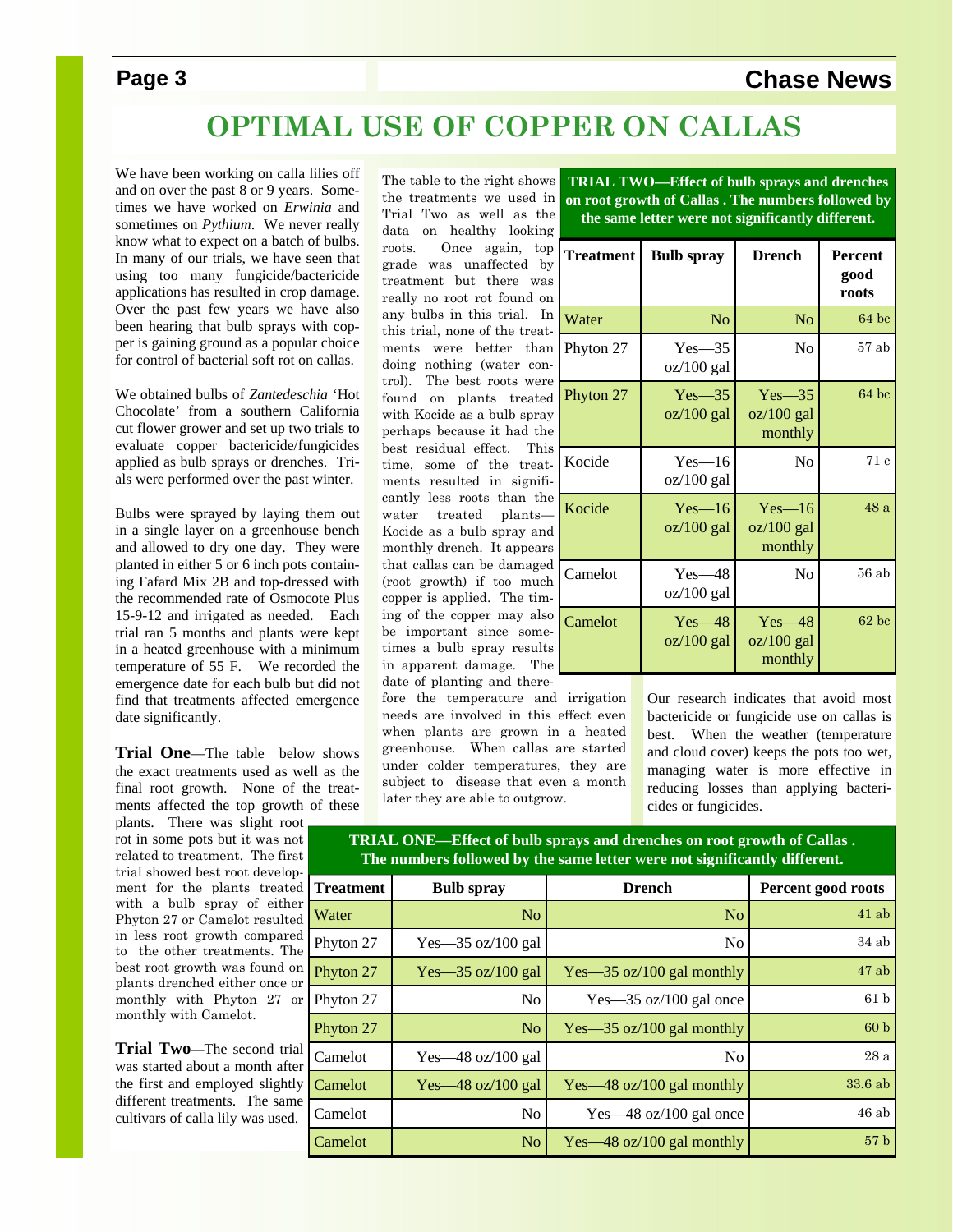# **Page 3** Chase News

# **OPTIMAL USE OF COPPER ON CALLAS**

We have been working on calla lilies off and on over the past 8 or 9 years. Sometimes we have worked on *Erwinia* and sometimes on *Pythium*. We never really know what to expect on a batch of bulbs. In many of our trials, we have seen that using too many fungicide/bactericide applications has resulted in crop damage. Over the past few years we have also been hearing that bulb sprays with copper is gaining ground as a popular choice for control of bacterial soft rot on callas.

We obtained bulbs of *Zantedeschia* 'Hot Chocolate' from a southern California cut flower grower and set up two trials to evaluate copper bactericide/fungicides applied as bulb sprays or drenches. Trials were performed over the past winter.

Bulbs were sprayed by laying them out in a single layer on a greenhouse bench and allowed to dry one day. They were planted in either 5 or 6 inch pots containing Fafard Mix 2B and top-dressed with the recommended rate of Osmocote Plus 15-9-12 and irrigated as needed. Each trial ran 5 months and plants were kept in a heated greenhouse with a minimum temperature of 55 F. We recorded the emergence date for each bulb but did not find that treatments affected emergence date significantly.

**Trial One**—The table below shows the exact treatments used as well as the final root growth. None of the treatments affected the top growth of these

plants. There was slight root rot in some pots but it was not related to treatment. The first trial showed best root development for the plants treated with a bulb spray of either Phyton 27 or Camelot resulted in less root growth compared to the other treatments. The best root growth was found on plants drenched either once or monthly with Phyton 27 or monthly with Camelot.

**Trial Two**—The second trial was started about a month after the first and employed slightly different treatments. The same cultivars of calla lily was used.

The table to the right shows the treatments we used in Trial Two as well as the data on healthy looking roots. Once again, top grade was unaffected by treatment but there was really no root rot found on any bulbs in this trial. In this trial, none of the treatments were better than doing nothing (water control). The best roots were found on plants treated with Kocide as a bulb spray perhaps because it had the best residual effect. This time, some of the treatments resulted in significantly less roots than the water treated plants— Kocide as a bulb spray and monthly drench. It appears that callas can be damaged (root growth) if too much copper is applied. The timing of the copper may also be important since sometimes a bulb spray results in apparent damage. The date of planting and there-

fore the temperature and irrigation needs are involved in this effect even when plants are grown in a heated greenhouse. When callas are started under colder temperatures, they are subject to disease that even a month later they are able to outgrow.

**TRIAL TWO—Effect of bulb sprays and drenches on root growth of Callas . The numbers followed by the same letter were not significantly different.** 

| <b>Treatment</b> | <b>Bulb</b> spray          | <b>Drench</b>                         | <b>Percent</b><br>good<br>roots |
|------------------|----------------------------|---------------------------------------|---------------------------------|
| Water            | No                         | No                                    | $64$ bc                         |
| Phyton 27        | $Yes - 35$<br>$oz/100$ gal | No                                    | $57$ ab                         |
| Phyton 27        | $Yes - 35$<br>$oz/100$ gal | $Yes - 35$<br>$oz/100$ gal<br>monthly | $64$ bc                         |
| Kocide           | $Yes - 16$<br>oz/100 gal   | No                                    | 71 c                            |
| Kocide           | $Yes - 16$<br>$oz/100$ gal | $Yes - 16$<br>$oz/100$ gal<br>monthly | 48 a                            |
| Camelot          | Yes—48<br>$oz/100$ gal     | No                                    | $56$ ab                         |
| Camelot          | $Yes - 48$<br>$oz/100$ gal | $Yes - 48$<br>$oz/100$ gal<br>monthly | $62$ bc                         |

Our research indicates that avoid most bactericide or fungicide use on callas is best. When the weather (temperature and cloud cover) keeps the pots too wet, managing water is more effective in reducing losses than applying bactericides or fungicides.

**TRIAL ONE—Effect of bulb sprays and drenches on root growth of Callas . The numbers followed by the same letter were not significantly different.** 

| <b>Treatment</b> | <b>Bulb</b> spray     | <b>Drench</b>                                | Percent good roots |
|------------------|-----------------------|----------------------------------------------|--------------------|
| Water            | N <sub>o</sub>        | N <sub>o</sub>                               | 41ab               |
| Phyton 27        | $Yes - 35 oz/100 gal$ | No                                           | 34ab               |
| Phyton 27        | $Yes - 35 oz/100 gal$ | $Yes - 35 oz/100 gal monthly$                | $47$ ab            |
| Phyton 27        | No                    | $Yes - 35 oz/100 gal once$                   | 61 <sub>b</sub>    |
| Phyton 27        | N <sub>o</sub>        | Yes— $35 \text{ oz}/100 \text{ gal}$ monthly | 60 <sub>b</sub>    |
| Camelot          | Yes—48 oz/100 gal     | No                                           | 28a                |
| Camelot          | $Yes - 48 oz/100 gal$ | Yes—48 oz/100 gal monthly                    | 33.6ab             |
| Camelot          | No                    | $Yes - 48 oz/100 gal once$                   | 46ab               |
| Camelot          | N <sub>o</sub>        | $Yes - 48 oz/100 gal monthly$                | 57 <sub>b</sub>    |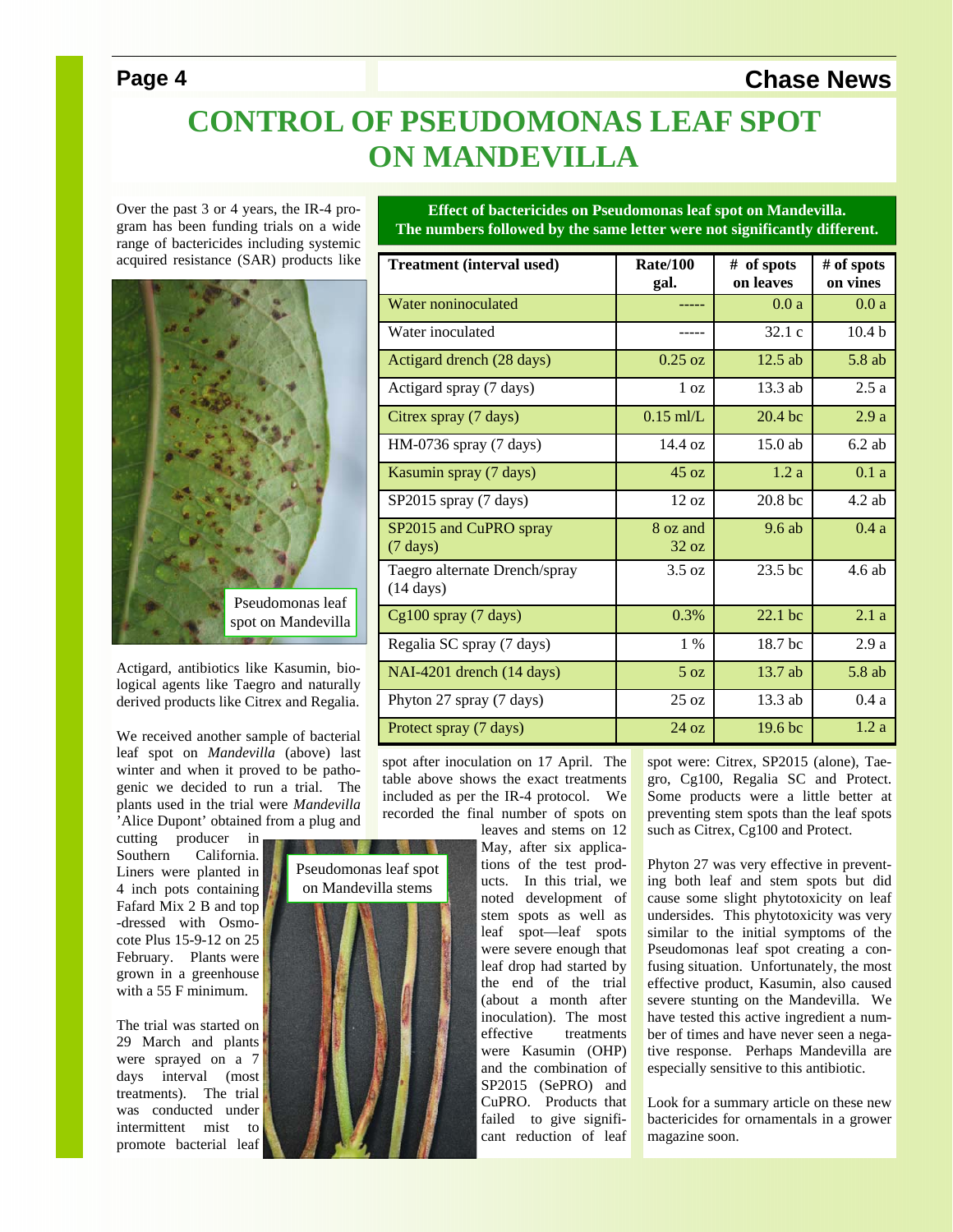## **Page 4** Chase News

**# of spots on vines** 

**# of spots on leaves** 

# **CONTROL OF PSEUDOMONAS LEAF SPOT ON MANDEVILLA**

**Treatment (interval used) Rate/100** 

Over the past 3 or 4 years, the IR-4 program has been funding trials on a wide range of bactericides including systemic acquired resistance (SAR) products like



Actigard, antibiotics like Kasumin, biological agents like Taegro and naturally derived products like Citrex and Regalia.

We received another sample of bacterial leaf spot on *Mandevilla* (above) las winter and when it proved to be pathogenic we decided to run a trial. The plants used in the trial were *Mandevilla* 'Alice Dupont' obtained from a plug and

cutting producer in Southern California. Liners were planted in 4 inch pots containing Fafard Mix 2 B and top -dressed with Osmocote Plus 15-9-12 on 25 February. Plants were grown in a greenhouse with a 55 F minimum.

The trial was started on 29 March and plants were sprayed on a 7 days interval (most treatments). The trial was conducted under intermittent mist to promote bacterial leaf

3 8 8 Pseudomonas leaf spot on Mandevilla stems



May, after six applications of the test products. In this trial, we noted development of stem spots as well as leaf spot—leaf spots were severe enough that leaf drop had started by the end of the trial (about a month after inoculation). The most effective treatments were Kasumin (OHP) and the combination of SP2015 (SePRO) and CuPRO. Products that failed to give significant reduction of leaf

Phyton 27 was very effective in preventing both leaf and stem spots but did cause some slight phytotoxicity on leaf undersides. This phytotoxicity was very similar to the initial symptoms of the Pseudomonas leaf spot creating a confusing situation. Unfortunately, the most effective product, Kasumin, also caused severe stunting on the Mandevilla. We have tested this active ingredient a number of times and have never seen a negative response. Perhaps Mandevilla are especially sensitive to this antibiotic.

Look for a summary article on these new bactericides for ornamentals in a grower magazine soon.

**Effect of bactericides on Pseudomonas leaf spot on Mandevilla. The numbers followed by the same letter were not significantly different.** 

Water noninoculated ----- 0.0 a 0.0 a Water inoculated  $\begin{array}{ccc} --1 & 32.1 \text{ c} & 10.4 \text{ b} \end{array}$ 

**gal.** 

| Actigard drench (28 days)                            | $0.25$ oz         | 12.5 ab                                                                                                                                                           | $5.8$ ab                                                                                                                                                                                                   |
|------------------------------------------------------|-------------------|-------------------------------------------------------------------------------------------------------------------------------------------------------------------|------------------------------------------------------------------------------------------------------------------------------------------------------------------------------------------------------------|
| Actigard spray (7 days)                              | $1 \Omega$        | $13.3$ ab                                                                                                                                                         | 2.5a                                                                                                                                                                                                       |
| Citrex spray (7 days)                                | $0.15$ ml/L       | 20.4 bc                                                                                                                                                           | 2.9a                                                                                                                                                                                                       |
| HM-0736 spray (7 days)                               | 14.4 oz           | $15.0$ ab                                                                                                                                                         | $6.2$ ab                                                                                                                                                                                                   |
| Kasumin spray (7 days)                               | 45 oz             | 1.2a                                                                                                                                                              | 0.1a                                                                                                                                                                                                       |
| SP2015 spray (7 days)                                | 12 oz             | 20.8 <sub>bc</sub>                                                                                                                                                | $4.2$ ab                                                                                                                                                                                                   |
| SP2015 and CuPRO spray<br>$(7 \text{ days})$         | 8 oz and<br>32 oz | 9.6ab                                                                                                                                                             | 0.4a                                                                                                                                                                                                       |
| Taegro alternate Drench/spray<br>$(14 \text{ days})$ | 3.5 oz            | 23.5 bc                                                                                                                                                           | 4.6 ab                                                                                                                                                                                                     |
| $Cg100$ spray (7 days)                               | 0.3%              | $22.1$ bc                                                                                                                                                         | 2.1a                                                                                                                                                                                                       |
| Regalia SC spray (7 days)                            | $1\%$             | 18.7 bc                                                                                                                                                           | 2.9a                                                                                                                                                                                                       |
| NAI-4201 drench (14 days)                            | 5 <sub>oz</sub>   | 13.7 ab                                                                                                                                                           | $5.8$ ab                                                                                                                                                                                                   |
| Phyton 27 spray (7 days)                             | 25 oz             | 13.3 ab                                                                                                                                                           | 0.4a                                                                                                                                                                                                       |
| Protect spray (7 days)                               | 24 oz             | 19.6 bc                                                                                                                                                           | 1.2a                                                                                                                                                                                                       |
| included as per the IR-4 protocol.                   |                   |                                                                                                                                                                   |                                                                                                                                                                                                            |
|                                                      |                   | spot after inoculation on 17 April. The<br>table above shows the exact treatments<br><b>We</b><br>recorded the final number of spots on<br>leaves and stems on 12 | spot were: Citrex, SP2015 (alone), Tae-<br>gro, Cg100, Regalia SC and Protect.<br>Some products were a little better at<br>preventing stem spots than the leaf spots<br>such as Citrex, Cg100 and Protect. |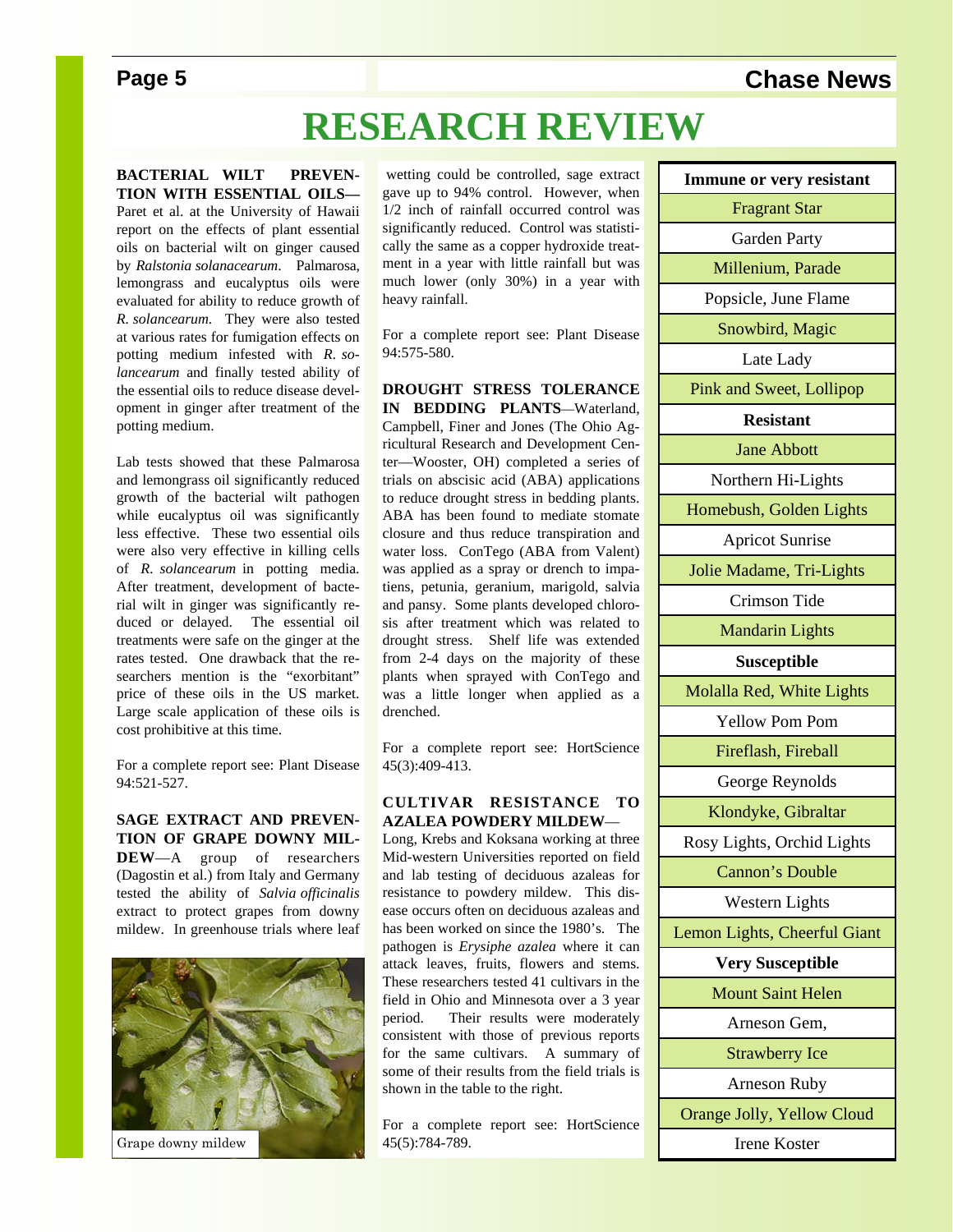# **Page 5** Chase News

# **RESEARCH REVIEW**

**BACTERIAL WILT PREVEN-TION WITH ESSENTIAL OILS—** Paret et al. at the University of Hawaii report on the effects of plant essential oils on bacterial wilt on ginger caused by *Ralstonia solanacearum*. Palmarosa, lemongrass and eucalyptus oils were evaluated for ability to reduce growth of *R. solancearum.* They were also tested at various rates for fumigation effects on potting medium infested with *R. solancearum* and finally tested ability of the essential oils to reduce disease development in ginger after treatment of the potting medium.

Lab tests showed that these Palmarosa and lemongrass oil significantly reduced growth of the bacterial wilt pathogen while eucalyptus oil was significantly less effective. These two essential oils were also very effective in killing cells of *R. solancearum* in potting media. After treatment, development of bacterial wilt in ginger was significantly reduced or delayed. The essential oil treatments were safe on the ginger at the rates tested. One drawback that the researchers mention is the "exorbitant" price of these oils in the US market. Large scale application of these oils is cost prohibitive at this time.

For a complete report see: Plant Disease 94:521-527.

### **SAGE EXTRACT AND PREVEN-TION OF GRAPE DOWNY MIL-DEW**—A group of researchers

(Dagostin et al.) from Italy and Germany tested the ability of *Salvia officinalis*  extract to protect grapes from downy mildew. In greenhouse trials where leaf



Grape downy mildew

 wetting could be controlled, sage extract gave up to 94% control. However, when 1/2 inch of rainfall occurred control was significantly reduced. Control was statistically the same as a copper hydroxide treatment in a year with little rainfall but was much lower (only 30%) in a year with heavy rainfall.

For a complete report see: Plant Disease 94:575-580.

### **DROUGHT STRESS TOLERANCE**

**IN BEDDING PLANTS**—Waterland, Campbell, Finer and Jones (The Ohio Agricultural Research and Development Center—Wooster, OH) completed a series of trials on abscisic acid (ABA) applications to reduce drought stress in bedding plants. ABA has been found to mediate stomate closure and thus reduce transpiration and water loss. ConTego (ABA from Valent) was applied as a spray or drench to impatiens, petunia, geranium, marigold, salvia and pansy. Some plants developed chlorosis after treatment which was related to drought stress. Shelf life was extended from 2-4 days on the majority of these plants when sprayed with ConTego and was a little longer when applied as a drenched.

For a complete report see: HortScience 45(3):409-413.

### **CULTIVAR RESISTANCE TO AZALEA POWDERY MILDEW**—

Long, Krebs and Koksana working at three Mid-western Universities reported on field and lab testing of deciduous azaleas for resistance to powdery mildew. This disease occurs often on deciduous azaleas and has been worked on since the 1980's. The pathogen is *Erysiphe azalea* where it can attack leaves, fruits, flowers and stems. These researchers tested 41 cultivars in the field in Ohio and Minnesota over a 3 year period. Their results were moderately consistent with those of previous reports for the same cultivars. A summary of some of their results from the field trials is shown in the table to the right.

For a complete report see: HortScience 45(5):784-789.

| <b>Immune or very resistant</b> |  |  |
|---------------------------------|--|--|
| <b>Fragrant Star</b>            |  |  |
| Garden Party                    |  |  |
| Millenium, Parade               |  |  |
| Popsicle, June Flame            |  |  |
| Snowbird, Magic                 |  |  |
| Late Lady                       |  |  |
| <b>Pink and Sweet, Lollipop</b> |  |  |
| <b>Resistant</b>                |  |  |
| <b>Jane Abbott</b>              |  |  |
| Northern Hi-Lights              |  |  |
| Homebush, Golden Lights         |  |  |
| <b>Apricot Sunrise</b>          |  |  |
| Jolie Madame, Tri-Lights        |  |  |
| Crimson Tide                    |  |  |
| <b>Mandarin Lights</b>          |  |  |
| <b>Susceptible</b>              |  |  |
| Molalla Red, White Lights       |  |  |
| <b>Yellow Pom Pom</b>           |  |  |
| Fireflash, Fireball             |  |  |
| George Reynolds                 |  |  |
| Klondyke, Gibraltar             |  |  |
| Rosy Lights, Orchid Lights      |  |  |
| Cannon's Double                 |  |  |
| <b>Western Lights</b>           |  |  |
| Lemon Lights, Cheerful Giant    |  |  |
| <b>Very Susceptible</b>         |  |  |
| <b>Mount Saint Helen</b>        |  |  |
| Arneson Gem,                    |  |  |
| <b>Strawberry Ice</b>           |  |  |
| Arneson Ruby                    |  |  |
| Orange Jolly, Yellow Cloud      |  |  |
| Irene Koster                    |  |  |